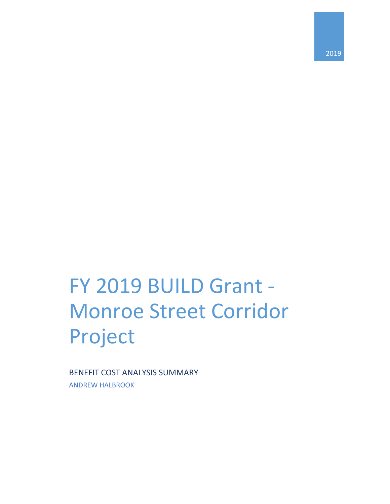2019

# FY 2019 BUILD Grant - Monroe Street Corridor Project

BENEFIT COST ANALYSIS SUMMARY ANDREW HALBROOK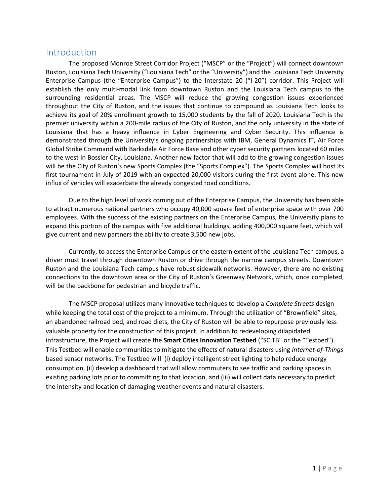### Introduction

The proposed Monroe Street Corridor Project ("MSCP" or the "Project") will connect downtown Ruston, Louisiana Tech University ("Louisiana Tech" or the "University") and the Louisiana Tech University Enterprise Campus (the "Enterprise Campus") to the Interstate 20 ("I-20") corridor. This Project will establish the only multi-modal link from downtown Ruston and the Louisiana Tech campus to the surrounding residential areas. The MSCP will reduce the growing congestion issues experienced throughout the City of Ruston, and the issues that continue to compound as Louisiana Tech looks to achieve its goal of 20% enrollment growth to 15,000 students by the fall of 2020. Louisiana Tech is the premier university within a 200-mile radius of the City of Ruston, and the only university in the state of Louisiana that has a heavy influence in Cyber Engineering and Cyber Security. This influence is demonstrated through the University's ongoing partnerships with IBM, General Dynamics IT, Air Force Global Strike Command with Barksdale Air Force Base and other cyber security partners located 60 miles to the west in Bossier City, Louisiana. Another new factor that will add to the growing congestion issues will be the City of Ruston's new Sports Complex (the "Sports Complex"). The Sports Complex will host its first tournament in July of 2019 with an expected 20,000 visitors during the first event alone. This new influx of vehicles will exacerbate the already congested road conditions.

Due to the high level of work coming out of the Enterprise Campus, the University has been able to attract numerous national partners who occupy 40,000 square feet of enterprise space with over 700 employees. With the success of the existing partners on the Enterprise Campus, the University plans to expand this portion of the campus with five additional buildings, adding 400,000 square feet, which will give current and new partners the ability to create 3,500 new jobs.

Currently, to access the Enterprise Campus or the eastern extent of the Louisiana Tech campus, a driver must travel through downtown Ruston or drive through the narrow campus streets. Downtown Ruston and the Louisiana Tech campus have robust sidewalk networks. However, there are no existing connections to the downtown area or the City of Ruston's Greenway Network, which, once completed, will be the backbone for pedestrian and bicycle traffic.

The MSCP proposal utilizes many innovative techniques to develop a *Complete Streets* design while keeping the total cost of the project to a minimum. Through the utilization of "Brownfield" sites, an abandoned railroad bed, and road diets, the City of Ruston will be able to repurpose previously less valuable property for the construction of this project. In addition to redeveloping dilapidated infrastructure, the Project will create the **Smart Cities Innovation Testbed** ("SCITB" or the "Testbed"). This Testbed will enable communities to mitigate the effects of natural disasters using *Internet-of-Things* based sensor networks. The Testbed will (i) deploy intelligent street lighting to help reduce energy consumption, (ii) develop a dashboard that will allow commuters to see traffic and parking spaces in existing parking lots prior to committing to that location, and (iii) will collect data necessary to predict the intensity and location of damaging weather events and natural disasters.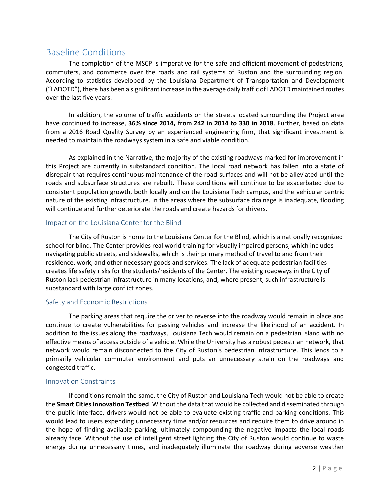## Baseline Conditions

The completion of the MSCP is imperative for the safe and efficient movement of pedestrians, commuters, and commerce over the roads and rail systems of Ruston and the surrounding region. According to statistics developed by the Louisiana Department of Transportation and Development ("LADOTD"), there has been a significant increase in the average daily traffic of LADOTD maintained routes over the last five years.

In addition, the volume of traffic accidents on the streets located surrounding the Project area have continued to increase, **36% since 2014, from 242 in 2014 to 330 in 2018**. Further, based on data from a 2016 Road Quality Survey by an experienced engineering firm, that significant investment is needed to maintain the roadways system in a safe and viable condition.

As explained in the Narrative, the majority of the existing roadways marked for improvement in this Project are currently in substandard condition. The local road network has fallen into a state of disrepair that requires continuous maintenance of the road surfaces and will not be alleviated until the roads and subsurface structures are rebuilt. These conditions will continue to be exacerbated due to consistent population growth, both locally and on the Louisiana Tech campus, and the vehicular centric nature of the existing infrastructure. In the areas where the subsurface drainage is inadequate, flooding will continue and further deteriorate the roads and create hazards for drivers.

#### Impact on the Louisiana Center for the Blind

The City of Ruston is home to the Louisiana Center for the Blind, which is a nationally recognized school for blind. The Center provides real world training for visually impaired persons, which includes navigating public streets, and sidewalks, which is their primary method of travel to and from their residence, work, and other necessary goods and services. The lack of adequate pedestrian facilities creates life safety risks for the students/residents of the Center. The existing roadways in the City of Ruston lack pedestrian infrastructure in many locations, and, where present, such infrastructure is substandard with large conflict zones.

#### Safety and Economic Restrictions

The parking areas that require the driver to reverse into the roadway would remain in place and continue to create vulnerabilities for passing vehicles and increase the likelihood of an accident. In addition to the issues along the roadways, Louisiana Tech would remain on a pedestrian island with no effective means of access outside of a vehicle. While the University has a robust pedestrian network, that network would remain disconnected to the City of Ruston's pedestrian infrastructure. This lends to a primarily vehicular commuter environment and puts an unnecessary strain on the roadways and congested traffic.

#### Innovation Constraints

If conditions remain the same, the City of Ruston and Louisiana Tech would not be able to create the **Smart Cities Innovation Testbed**. Without the data that would be collected and disseminated through the public interface, drivers would not be able to evaluate existing traffic and parking conditions. This would lead to users expending unnecessary time and/or resources and require them to drive around in the hope of finding available parking, ultimately compounding the negative impacts the local roads already face. Without the use of intelligent street lighting the City of Ruston would continue to waste energy during unnecessary times, and inadequately illuminate the roadway during adverse weather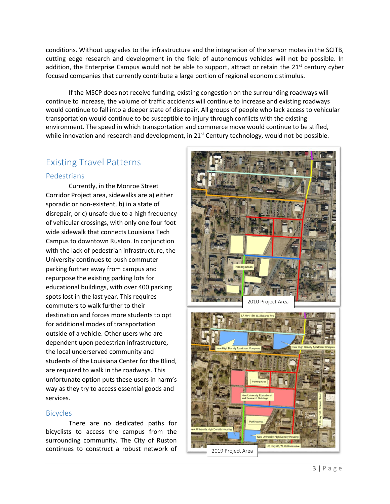conditions. Without upgrades to the infrastructure and the integration of the sensor motes in the SCITB, cutting edge research and development in the field of autonomous vehicles will not be possible. In addition, the Enterprise Campus would not be able to support, attract or retain the  $21<sup>st</sup>$  century cyber focused companies that currently contribute a large portion of regional economic stimulus.

If the MSCP does not receive funding, existing congestion on the surrounding roadways will continue to increase, the volume of traffic accidents will continue to increase and existing roadways would continue to fall into a deeper state of disrepair. All groups of people who lack access to vehicular transportation would continue to be susceptible to injury through conflicts with the existing environment. The speed in which transportation and commerce move would continue to be stifled, while innovation and research and development, in 21<sup>st</sup> Century technology, would not be possible.

# Existing Travel Patterns

#### Pedestrians

Currently, in the Monroe Street Corridor Project area, sidewalks are a) either sporadic or non-existent, b) in a state of disrepair, or c) unsafe due to a high frequency of vehicular crossings, with only one four foot wide sidewalk that connects Louisiana Tech Campus to downtown Ruston. In conjunction with the lack of pedestrian infrastructure, the University continues to push commuter parking further away from campus and repurpose the existing parking lots for educational buildings, with over 400 parking spots lost in the last year. This requires commuters to walk further to their destination and forces more students to opt for additional modes of transportation outside of a vehicle. Other users who are dependent upon pedestrian infrastructure, the local underserved community and students of the Louisiana Center for the Blind, are required to walk in the roadways. This unfortunate option puts these users in harm's way as they try to access essential goods and services.

#### Bicycles

There are no dedicated paths for bicyclists to access the campus from the surrounding community. The City of Ruston continues to construct a robust network of



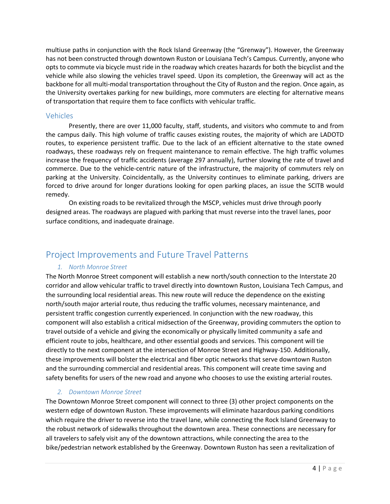multiuse paths in conjunction with the Rock Island Greenway (the "Grenway"). However, the Greenway has not been constructed through downtown Ruston or Louisiana Tech's Campus. Currently, anyone who opts to commute via bicycle must ride in the roadway which creates hazards for both the bicyclist and the vehicle while also slowing the vehicles travel speed. Upon its completion, the Greenway will act as the backbone for all multi-modal transportation throughout the City of Ruston and the region. Once again, as the University overtakes parking for new buildings, more commuters are electing for alternative means of transportation that require them to face conflicts with vehicular traffic.

#### Vehicles

Presently, there are over 11,000 faculty, staff, students, and visitors who commute to and from the campus daily. This high volume of traffic causes existing routes, the majority of which are LADOTD routes, to experience persistent traffic. Due to the lack of an efficient alternative to the state owned roadways, these roadways rely on frequent maintenance to remain effective. The high traffic volumes increase the frequency of traffic accidents (average 297 annually), further slowing the rate of travel and commerce. Due to the vehicle-centric nature of the infrastructure, the majority of commuters rely on parking at the University. Coincidentally, as the University continues to eliminate parking, drivers are forced to drive around for longer durations looking for open parking places, an issue the SCITB would remedy.

On existing roads to be revitalized through the MSCP, vehicles must drive through poorly designed areas. The roadways are plagued with parking that must reverse into the travel lanes, poor surface conditions, and inadequate drainage.

# Project Improvements and Future Travel Patterns

#### *1. North Monroe Street*

The North Monroe Street component will establish a new north/south connection to the Interstate 20 corridor and allow vehicular traffic to travel directly into downtown Ruston, Louisiana Tech Campus, and the surrounding local residential areas. This new route will reduce the dependence on the existing north/south major arterial route, thus reducing the traffic volumes, necessary maintenance, and persistent traffic congestion currently experienced. In conjunction with the new roadway, this component will also establish a critical midsection of the Greenway, providing commuters the option to travel outside of a vehicle and giving the economically or physically limited community a safe and efficient route to jobs, healthcare, and other essential goods and services. This component will tie directly to the next component at the intersection of Monroe Street and Highway-150. Additionally, these improvements will bolster the electrical and fiber optic networks that serve downtown Ruston and the surrounding commercial and residential areas. This component will create time saving and safety benefits for users of the new road and anyone who chooses to use the existing arterial routes.

#### *2. Downtown Monroe Street*

The Downtown Monroe Street component will connect to three (3) other project components on the western edge of downtown Ruston. These improvements will eliminate hazardous parking conditions which require the driver to reverse into the travel lane, while connecting the Rock Island Greenway to the robust network of sidewalks throughout the downtown area. These connections are necessary for all travelers to safely visit any of the downtown attractions, while connecting the area to the bike/pedestrian network established by the Greenway. Downtown Ruston has seen a revitalization of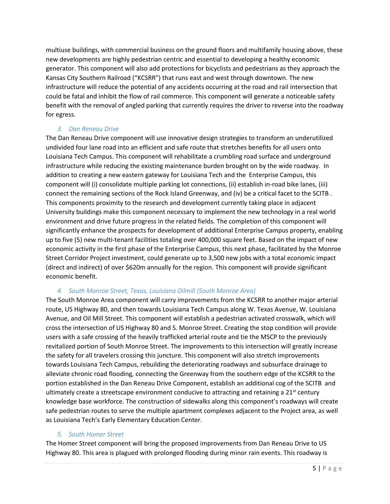multiuse buildings, with commercial business on the ground floors and multifamily housing above, these new developments are highly pedestrian centric and essential to developing a healthy economic generator. This component will also add protections for bicyclists and pedestrians as they approach the Kansas City Southern Railroad ("KCSRR") that runs east and west through downtown. The new infrastructure will reduce the potential of any accidents occurring at the road and rail intersection that could be fatal and inhibit the flow of rail commerce. This component will generate a noticeable safety benefit with the removal of angled parking that currently requires the driver to reverse into the roadway for egress.

#### *3. Dan Reneau Drive*

The Dan Reneau Drive component will use innovative design strategies to transform an underutilized undivided four lane road into an efficient and safe route that stretches benefits for all users onto Louisiana Tech Campus. This component will rehabilitate a crumbling road surface and underground infrastructure while reducing the existing maintenance burden brought on by the wide roadway. In addition to creating a new eastern gateway for Louisiana Tech and the Enterprise Campus, this component will (i) consolidate multiple parking lot connections, (ii) establish in-road bike lanes, (iii) connect the remaining sections of the Rock Island Greenway, and (iv) be a critical facet to the SCITB . This components proximity to the research and development currently taking place in adjacent University buildings make this component necessary to implement the new technology in a real world environment and drive future progress in the related fields. The completion of this component will significantly enhance the prospects for development of additional Enterprise Campus property, enabling up to five (5) new multi-tenant facilities totaling over 400,000 square feet. Based on the impact of new economic activity in the first phase of the Enterprise Campus, this next phase, facilitated by the Monroe Street Corridor Project investment, could generate up to 3,500 new jobs with a total economic impact (direct and indirect) of over \$620m annually for the region. This component will provide significant economic benefit.

#### *4. South Monroe Street, Texas, Louisiana Oilmill (South Monroe Area)*

The South Monroe Area component will carry improvements from the KCSRR to another major arterial route, US Highway 80, and then towards Louisiana Tech Campus along W. Texas Avenue, W. Louisiana Avenue, and Oil Mill Street. This component will establish a pedestrian activated crosswalk, which will cross the intersection of US Highway 80 and S. Monroe Street. Creating the stop condition will provide users with a safe crossing of the heavily trafficked arterial route and tie the MSCP to the previously revitalized portion of South Monroe Street. The improvements to this intersection will greatly increase the safety for all travelers crossing this juncture. This component will also stretch improvements towards Louisiana Tech Campus, rebuilding the deteriorating roadways and subsurface drainage to alleviate chronic road flooding, connecting the Greenway from the southern edge of the KCSRR to the portion established in the Dan Reneau Drive Component, establish an additional cog of the SCITB and ultimately create a streetscape environment conducive to attracting and retaining a  $21^{st}$  century knowledge base workforce. The construction of sidewalks along this component's roadways will create safe pedestrian routes to serve the multiple apartment complexes adjacent to the Project area, as well as Louisiana Tech's Early Elementary Education Center.

#### *5. South Homer Street*

The Homer Street component will bring the proposed improvements from Dan Reneau Drive to US Highway 80. This area is plagued with prolonged flooding during minor rain events. This roadway is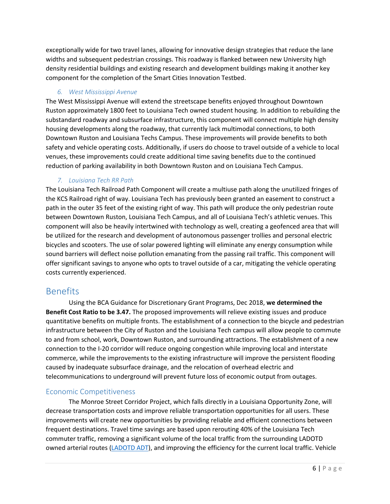exceptionally wide for two travel lanes, allowing for innovative design strategies that reduce the lane widths and subsequent pedestrian crossings. This roadway is flanked between new University high density residential buildings and existing research and development buildings making it another key component for the completion of the Smart Cities Innovation Testbed.

#### *6. West Mississippi Avenue*

The West Mississippi Avenue will extend the streetscape benefits enjoyed throughout Downtown Ruston approximately 1800 feet to Louisiana Tech owned student housing. In addition to rebuilding the substandard roadway and subsurface infrastructure, this component will connect multiple high density housing developments along the roadway, that currently lack multimodal connections, to both Downtown Ruston and Louisiana Techs Campus. These improvements will provide benefits to both safety and vehicle operating costs. Additionally, if users do choose to travel outside of a vehicle to local venues, these improvements could create additional time saving benefits due to the continued reduction of parking availability in both Downtown Ruston and on Louisiana Tech Campus.

#### *7. Louisiana Tech RR Path*

The Louisiana Tech Railroad Path Component will create a multiuse path along the unutilized fringes of the KCS Railroad right of way. Louisiana Tech has previously been granted an easement to construct a path in the outer 35 feet of the existing right of way. This path will produce the only pedestrian route between Downtown Ruston, Louisiana Tech Campus, and all of Louisiana Tech's athletic venues. This component will also be heavily intertwined with technology as well, creating a geofenced area that will be utilized for the research and development of autonomous passenger trollies and personal electric bicycles and scooters. The use of solar powered lighting will eliminate any energy consumption while sound barriers will deflect noise pollution emanating from the passing rail traffic. This component will offer significant savings to anyone who opts to travel outside of a car, mitigating the vehicle operating costs currently experienced.

## Benefits

Using the BCA Guidance for Discretionary Grant Programs, Dec 2018, **we determined the Benefit Cost Ratio to be 3.47.** The proposed improvements will relieve existing issues and produce quantitative benefits on multiple fronts. The establishment of a connection to the bicycle and pedestrian infrastructure between the City of Ruston and the Louisiana Tech campus will allow people to commute to and from school, work, Downtown Ruston, and surrounding attractions. The establishment of a new connection to the I-20 corridor will reduce ongoing congestion while improving local and interstate commerce, while the improvements to the existing infrastructure will improve the persistent flooding caused by inadequate subsurface drainage, and the relocation of overhead electric and telecommunications to underground will prevent future loss of economic output from outages.

#### Economic Competitiveness

The Monroe Street Corridor Project, which falls directly in a Louisiana Opportunity Zone, will decrease transportation costs and improve reliable transportation opportunities for all users. These improvements will create new opportunities by providing reliable and efficient connections between frequent destinations. Travel time savings are based upon rerouting 40% of the Louisiana Tech commuter traffic, removing a significant volume of the local traffic from the surrounding LADOTD owned arterial routes [\(LADOTD ADT\)](http://wwwapps.dotd.la.gov/engineering/tatv/), and improving the efficiency for the current local traffic. Vehicle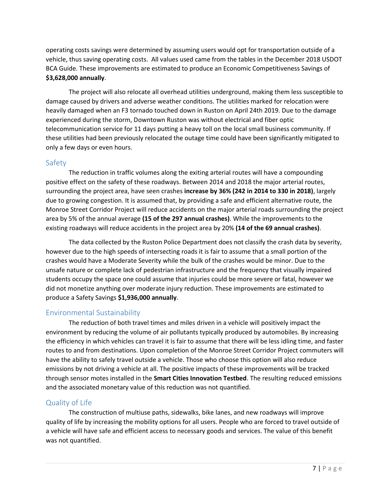operating costs savings were determined by assuming users would opt for transportation outside of a vehicle, thus saving operating costs. All values used came from the tables in the December 2018 USDOT BCA Guide. These improvements are estimated to produce an Economic Competitiveness Savings of **\$3,628,000 annually**.

The project will also relocate all overhead utilities underground, making them less susceptible to damage caused by drivers and adverse weather conditions. The utilities marked for relocation were heavily damaged when an F3 tornado touched down in Ruston on April 24th 2019. Due to the damage experienced during the storm, Downtown Ruston was without electrical and fiber optic telecommunication service for 11 days putting a heavy toll on the local small business community. If these utilities had been previously relocated the outage time could have been significantly mitigated to only a few days or even hours.

#### Safety

The reduction in traffic volumes along the exiting arterial routes will have a compounding positive effect on the safety of these roadways. Between 2014 and 2018 the major arterial routes, surrounding the project area, have seen crashes **increase by 36% (242 in 2014 to 330 in 2018)**, largely due to growing congestion. It is assumed that, by providing a safe and efficient alternative route, the Monroe Street Corridor Project will reduce accidents on the major arterial roads surrounding the project area by 5% of the annual average **(15 of the 297 annual crashes)**. While the improvements to the existing roadways will reduce accidents in the project area by 20% **(14 of the 69 annual crashes)**.

The data collected by the Ruston Police Department does not classify the crash data by severity, however due to the high speeds of intersecting roads it is fair to assume that a small portion of the crashes would have a Moderate Severity while the bulk of the crashes would be minor. Due to the unsafe nature or complete lack of pedestrian infrastructure and the frequency that visually impaired students occupy the space one could assume that injuries could be more severe or fatal, however we did not monetize anything over moderate injury reduction. These improvements are estimated to produce a Safety Savings **\$1,936,000 annually**.

#### Environmental Sustainability

The reduction of both travel times and miles driven in a vehicle will positively impact the environment by reducing the volume of air pollutants typically produced by automobiles. By increasing the efficiency in which vehicles can travel it is fair to assume that there will be less idling time, and faster routes to and from destinations. Upon completion of the Monroe Street Corridor Project commuters will have the ability to safely travel outside a vehicle. Those who choose this option will also reduce emissions by not driving a vehicle at all. The positive impacts of these improvements will be tracked through sensor motes installed in the **Smart Cities Innovation Testbed**. The resulting reduced emissions and the associated monetary value of this reduction was not quantified.

#### Quality of Life

The construction of multiuse paths, sidewalks, bike lanes, and new roadways will improve quality of life by increasing the mobility options for all users. People who are forced to travel outside of a vehicle will have safe and efficient access to necessary goods and services. The value of this benefit was not quantified.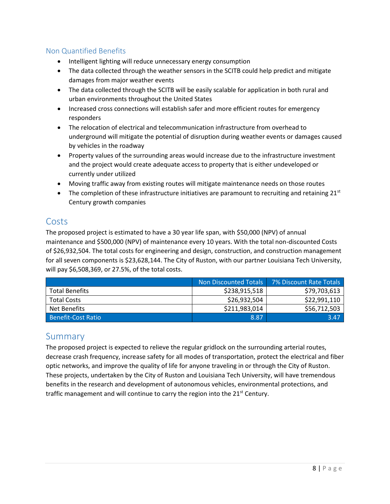#### Non Quantified Benefits

- Intelligent lighting will reduce unnecessary energy consumption
- The data collected through the weather sensors in the SCITB could help predict and mitigate damages from major weather events
- The data collected through the SCITB will be easily scalable for application in both rural and urban environments throughout the United States
- Increased cross connections will establish safer and more efficient routes for emergency responders
- The relocation of electrical and telecommunication infrastructure from overhead to underground will mitigate the potential of disruption during weather events or damages caused by vehicles in the roadway
- Property values of the surrounding areas would increase due to the infrastructure investment and the project would create adequate access to property that is either undeveloped or currently under utilized
- Moving traffic away from existing routes will mitigate maintenance needs on those routes
- $\bullet$  The completion of these infrastructure initiatives are paramount to recruiting and retaining 21st Century growth companies

## Costs

The proposed project is estimated to have a 30 year life span, with \$50,000 (NPV) of annual maintenance and \$500,000 (NPV) of maintenance every 10 years. With the total non-discounted Costs of \$26,932,504. The total costs for engineering and design, construction, and construction management for all seven components is \$23,628,144. The City of Ruston, with our partner Louisiana Tech University, will pay \$6,508,369, or 27.5%, of the total costs.

|                           | Non Discounted Totals | 7% Discount Rate Totals |
|---------------------------|-----------------------|-------------------------|
| <b>Total Benefits</b>     | \$238,915,518         | \$79,703,613            |
| <b>Total Costs</b>        | \$26,932,504          | \$22,991,110            |
| Net Benefits              | \$211,983,014         | \$56,712,503            |
| <b>Benefit-Cost Ratio</b> | 8.87                  | 3.47                    |

## **Summary**

The proposed project is expected to relieve the regular gridlock on the surrounding arterial routes, decrease crash frequency, increase safety for all modes of transportation, protect the electrical and fiber optic networks, and improve the quality of life for anyone traveling in or through the City of Ruston. These projects, undertaken by the City of Ruston and Louisiana Tech University, will have tremendous benefits in the research and development of autonomous vehicles, environmental protections, and traffic management and will continue to carry the region into the 21<sup>st</sup> Century.